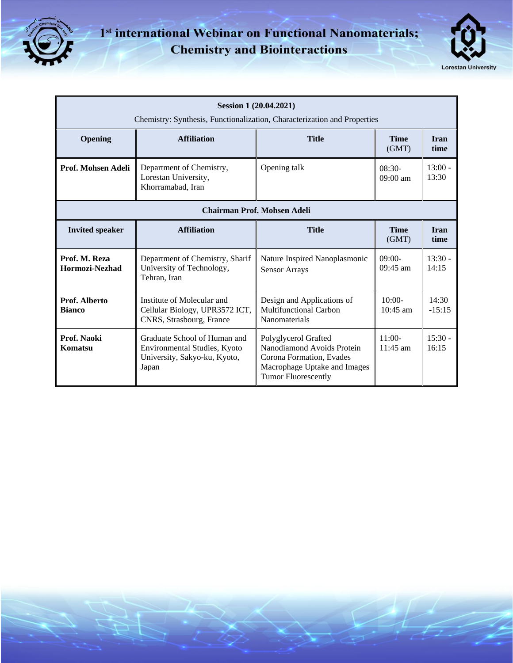

## 1<sup>st</sup> international Webinar on Functional Nanomaterials; **Chemistry and Biointeractions**



| Session 1 (20.04.2021)<br>Chemistry: Synthesis, Functionalization, Characterization and Properties |                                                                                                       |                                                                                                                                              |                        |                     |
|----------------------------------------------------------------------------------------------------|-------------------------------------------------------------------------------------------------------|----------------------------------------------------------------------------------------------------------------------------------------------|------------------------|---------------------|
| Opening                                                                                            | <b>Affiliation</b>                                                                                    | <b>Title</b>                                                                                                                                 | <b>Time</b><br>(GMT)   | <b>Iran</b><br>time |
| Prof. Mohsen Adeli                                                                                 | Department of Chemistry,<br>Lorestan University,<br>Khorramabad, Iran                                 | Opening talk                                                                                                                                 | $08:30-$<br>$09:00$ am | $13:00 -$<br>13:30  |
| <b>Chairman Prof. Mohsen Adeli</b>                                                                 |                                                                                                       |                                                                                                                                              |                        |                     |
| <b>Invited speaker</b>                                                                             | <b>Affiliation</b>                                                                                    | <b>Title</b>                                                                                                                                 | <b>Time</b><br>(GMT)   | <b>Iran</b><br>time |
| Prof. M. Reza<br>Hormozi-Nezhad                                                                    | Department of Chemistry, Sharif<br>University of Technology,<br>Tehran, Iran                          | Nature Inspired Nanoplasmonic<br><b>Sensor Arrays</b>                                                                                        | $09:00-$<br>$09:45$ am | $13:30 -$<br>14:15  |
| Prof. Alberto<br><b>Bianco</b>                                                                     | Institute of Molecular and<br>Cellular Biology, UPR3572 ICT,<br>CNRS, Strasbourg, France              | Design and Applications of<br><b>Multifunctional Carbon</b><br>Nanomaterials                                                                 | $10:00-$<br>$10:45$ am | 14:30<br>$-15:15$   |
| Prof. Naoki<br>Komatsu                                                                             | Graduate School of Human and<br>Environmental Studies, Kyoto<br>University, Sakyo-ku, Kyoto,<br>Japan | Polyglycerol Grafted<br>Nanodiamond Avoids Protein<br>Corona Formation, Evades<br>Macrophage Uptake and Images<br><b>Tumor Fluorescently</b> | $11:00-$<br>$11:45$ am | $15:30 -$<br>16:15  |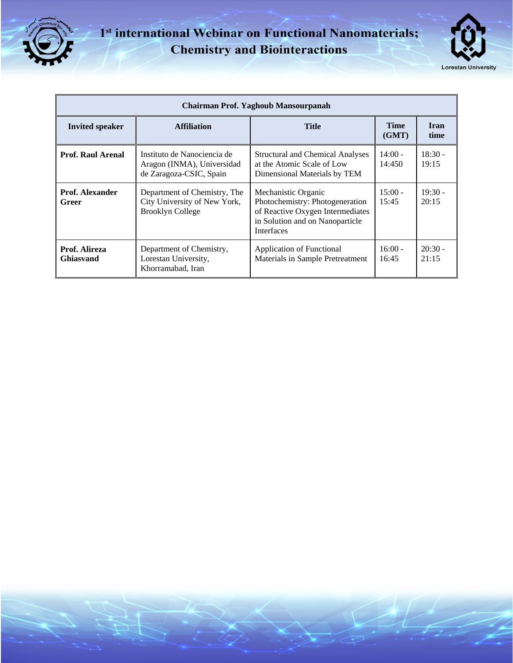

## 1<sup>st</sup> international Webinar on Functional Nanomaterials; **Chemistry and Biointeractions**



| Chairman Prof. Yaghoub Mansourpanah |                                                                                         |                                                                                                                                                    |                      |                     |
|-------------------------------------|-----------------------------------------------------------------------------------------|----------------------------------------------------------------------------------------------------------------------------------------------------|----------------------|---------------------|
| <b>Invited speaker</b>              | <b>Affiliation</b>                                                                      | <b>Title</b>                                                                                                                                       | <b>Time</b><br>(GMT) | <b>Iran</b><br>time |
| <b>Prof. Raul Arenal</b>            | Instituto de Nanociencia de<br>Aragon (INMA), Universidad<br>de Zaragoza-CSIC, Spain    | <b>Structural and Chemical Analyses</b><br>at the Atomic Scale of Low<br>Dimensional Materials by TEM                                              | $14:00 -$<br>14:450  | $18:30 -$<br>19:15  |
| Prof. Alexander<br>Greer            | Department of Chemistry, The<br>City University of New York,<br><b>Brooklyn College</b> | Mechanistic Organic<br>Photochemistry: Photogeneration<br>of Reactive Oxygen Intermediates<br>in Solution and on Nanoparticle<br><b>Interfaces</b> | $15:00 -$<br>15:45   | $19:30 -$<br>20:15  |
| Prof. Alireza<br><b>Ghiasvand</b>   | Department of Chemistry,<br>Lorestan University,<br>Khorramabad, Iran                   | <b>Application of Functional</b><br>Materials in Sample Pretreatment                                                                               | $16:00 -$<br>16:45   | $20:30 -$<br>21:15  |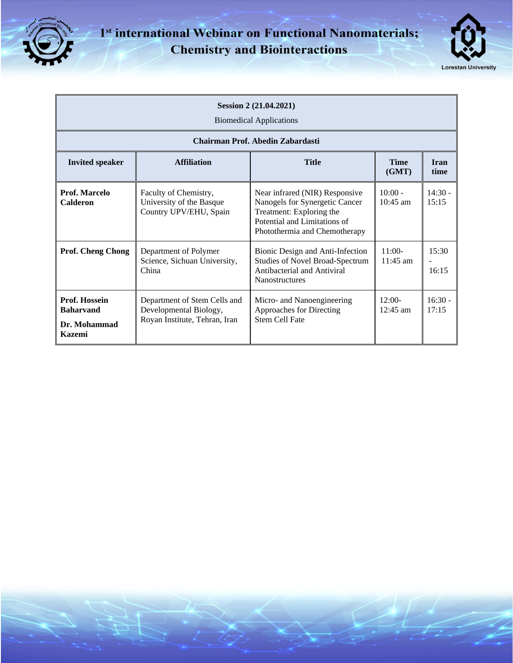

## 1<sup>st</sup> international Webinar on Functional Nanomaterials; **Chemistry and Biointeractions**



| Session 2 (21.04.2021)<br><b>Biomedical Applications</b>           |                                                                                         |                                                                                                                                                               |                         |                     |
|--------------------------------------------------------------------|-----------------------------------------------------------------------------------------|---------------------------------------------------------------------------------------------------------------------------------------------------------------|-------------------------|---------------------|
| Chairman Prof. Abedin Zabardasti                                   |                                                                                         |                                                                                                                                                               |                         |                     |
| <b>Invited speaker</b>                                             | <b>Affiliation</b>                                                                      | <b>Title</b>                                                                                                                                                  | <b>Time</b><br>(GMT)    | <b>Iran</b><br>time |
| Prof. Marcelo<br>Calderon                                          | Faculty of Chemistry,<br>University of the Basque<br>Country UPV/EHU, Spain             | Near infrared (NIR) Responsive<br>Nanogels for Synergetic Cancer<br>Treatment: Exploring the<br>Potential and Limitations of<br>Photothermia and Chemotherapy | $10:00 -$<br>$10:45$ am | $14:30 -$<br>15:15  |
| <b>Prof. Cheng Chong</b>                                           | Department of Polymer<br>Science, Sichuan University,<br>China                          | Bionic Design and Anti-Infection<br><b>Studies of Novel Broad-Spectrum</b><br>Antibacterial and Antiviral<br><b>Nanostructures</b>                            | $11:00-$<br>$11:45$ am  | 15:30<br>16:15      |
| Prof. Hossein<br><b>Baharvand</b><br>Dr. Mohammad<br><b>Kazemi</b> | Department of Stem Cells and<br>Developmental Biology,<br>Royan Institute, Tehran, Iran | Micro- and Nanoengineering<br>Approaches for Directing<br>Stem Cell Fate                                                                                      | $12:00-$<br>$12:45$ am  | $16:30 -$<br>17:15  |